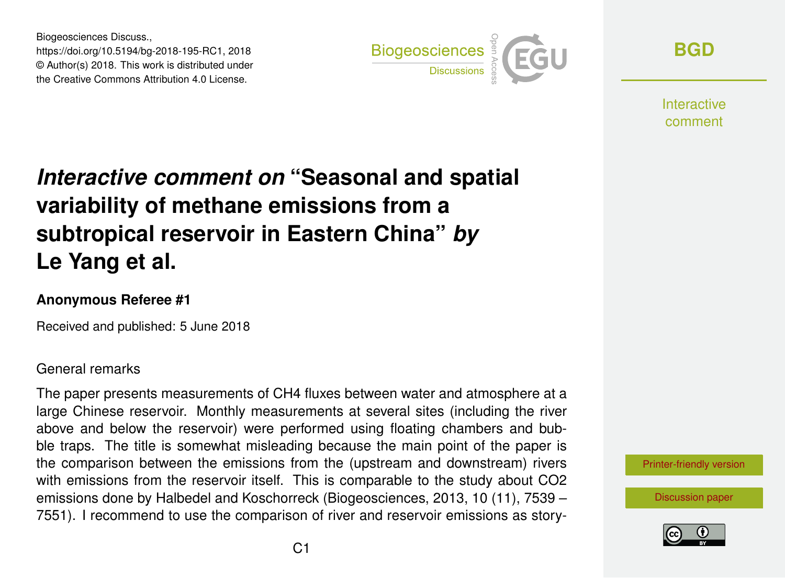Biogeosciences Discuss., https://doi.org/10.5194/bg-2018-195-RC1, 2018 © Author(s) 2018. This work is distributed under the Creative Commons Attribution 4.0 License.



**[BGD](https://www.biogeosciences-discuss.net/)**

Interactive comment

# *Interactive comment on* **"Seasonal and spatial variability of methane emissions from a subtropical reservoir in Eastern China"** *by* **Le Yang et al.**

### **Anonymous Referee #1**

Received and published: 5 June 2018

### General remarks

The paper presents measurements of CH4 fluxes between water and atmosphere at a large Chinese reservoir. Monthly measurements at several sites (including the river above and below the reservoir) were performed using floating chambers and bubble traps. The title is somewhat misleading because the main point of the paper is the comparison between the emissions from the (upstream and downstream) rivers with emissions from the reservoir itself. This is comparable to the study about CO2 emissions done by Halbedel and Koschorreck (Biogeosciences, 2013, 10 (11), 7539 – 7551). I recommend to use the comparison of river and reservoir emissions as story-

[Printer-friendly version](https://www.biogeosciences-discuss.net/bg-2018-195/bg-2018-195-RC1-print.pdf)

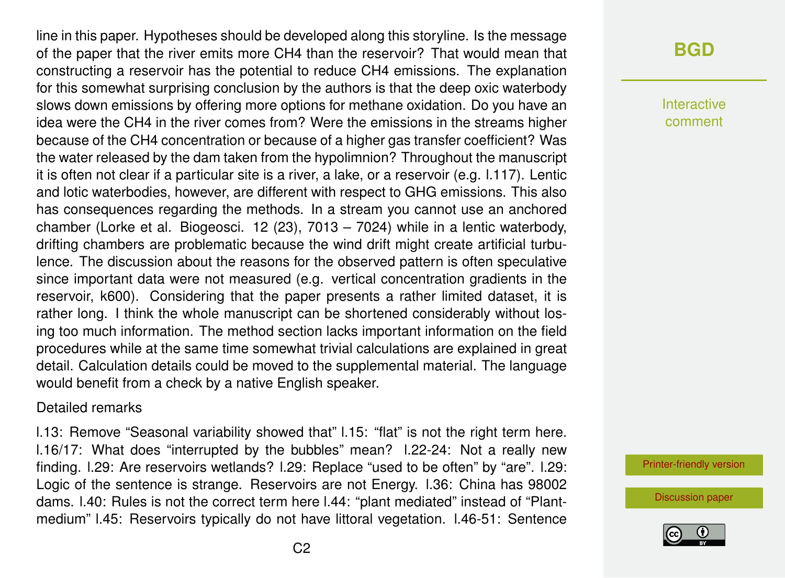line in this paper. Hypotheses should be developed along this storyline. Is the message of the paper that the river emits more CH4 than the reservoir? That would mean that constructing a reservoir has the potential to reduce CH4 emissions. The explanation for this somewhat surprising conclusion by the authors is that the deep oxic waterbody slows down emissions by offering more options for methane oxidation. Do you have an idea were the CH4 in the river comes from? Were the emissions in the streams higher because of the CH4 concentration or because of a higher gas transfer coefficient? Was the water released by the dam taken from the hypolimnion? Throughout the manuscript it is often not clear if a particular site is a river, a lake, or a reservoir (e.g. l.117). Lentic and lotic waterbodies, however, are different with respect to GHG emissions. This also has consequences regarding the methods. In a stream you cannot use an anchored chamber (Lorke et al. Biogeosci. 12 (23), 7013 – 7024) while in a lentic waterbody, drifting chambers are problematic because the wind drift might create artificial turbulence. The discussion about the reasons for the observed pattern is often speculative since important data were not measured (e.g. vertical concentration gradients in the reservoir, k600). Considering that the paper presents a rather limited dataset, it is rather long. I think the whole manuscript can be shortened considerably without losing too much information. The method section lacks important information on the field procedures while at the same time somewhat trivial calculations are explained in great detail. Calculation details could be moved to the supplemental material. The language would benefit from a check by a native English speaker.

#### Detailed remarks

l.13: Remove "Seasonal variability showed that" l.15: "flat" is not the right term here. l.16/17: What does "interrupted by the bubbles" mean? l.22-24: Not a really new finding. l.29: Are reservoirs wetlands? l.29: Replace "used to be often" by "are". l.29: Logic of the sentence is strange. Reservoirs are not Energy. l.36: China has 98002 dams. l.40: Rules is not the correct term here l.44: "plant mediated" instead of "Plantmedium" l.45: Reservoirs typically do not have littoral vegetation. l.46-51: Sentence

# **[BGD](https://www.biogeosciences-discuss.net/)**

Interactive comment

[Printer-friendly version](https://www.biogeosciences-discuss.net/bg-2018-195/bg-2018-195-RC1-print.pdf)

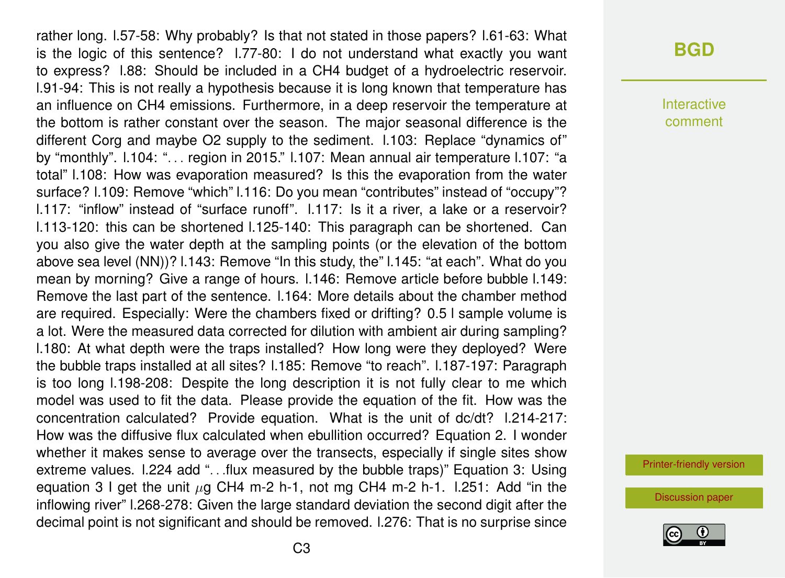rather long. l.57-58: Why probably? Is that not stated in those papers? l.61-63: What is the logic of this sentence? l.77-80: I do not understand what exactly you want to express? l.88: Should be included in a CH4 budget of a hydroelectric reservoir. l.91-94: This is not really a hypothesis because it is long known that temperature has an influence on CH4 emissions. Furthermore, in a deep reservoir the temperature at the bottom is rather constant over the season. The major seasonal difference is the different Corg and maybe O2 supply to the sediment. l.103: Replace "dynamics of" by "monthly". l.104: ". . . region in 2015." l.107: Mean annual air temperature l.107: "a total" l.108: How was evaporation measured? Is this the evaporation from the water surface? l.109: Remove "which" l.116: Do you mean "contributes" instead of "occupy"? l.117: "inflow" instead of "surface runoff". l.117: Is it a river, a lake or a reservoir? l.113-120: this can be shortened l.125-140: This paragraph can be shortened. Can you also give the water depth at the sampling points (or the elevation of the bottom above sea level (NN))? l.143: Remove "In this study, the" l.145: "at each". What do you mean by morning? Give a range of hours. l.146: Remove article before bubble l.149: Remove the last part of the sentence. l.164: More details about the chamber method are required. Especially: Were the chambers fixed or drifting? 0.5 l sample volume is a lot. Were the measured data corrected for dilution with ambient air during sampling? l.180: At what depth were the traps installed? How long were they deployed? Were the bubble traps installed at all sites? l.185: Remove "to reach". l.187-197: Paragraph is too long l.198-208: Despite the long description it is not fully clear to me which model was used to fit the data. Please provide the equation of the fit. How was the concentration calculated? Provide equation. What is the unit of dc/dt? l.214-217: How was the diffusive flux calculated when ebullition occurred? Equation 2. I wonder whether it makes sense to average over the transects, especially if single sites show extreme values. l.224 add ". . .flux measured by the bubble traps)" Equation 3: Using equation 3 I get the unit  $\mu$ g CH4 m-2 h-1, not mg CH4 m-2 h-1. l.251: Add "in the inflowing river" l.268-278: Given the large standard deviation the second digit after the decimal point is not significant and should be removed. l.276: That is no surprise since

### **[BGD](https://www.biogeosciences-discuss.net/)**

**Interactive** comment

[Printer-friendly version](https://www.biogeosciences-discuss.net/bg-2018-195/bg-2018-195-RC1-print.pdf)